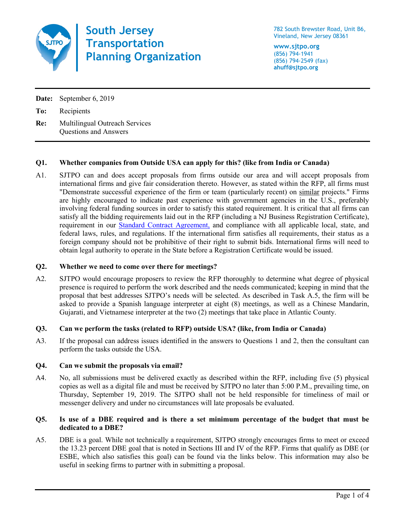

**South Jersey Transportation Planning Organization**

782 South Brewster Road, Unit B6, Vineland, New Jersey 08361

**www.sjtpo.org** (856) 794-1941 (856) 794-2549 (fax) **ahuff@sjtpo.org**

**Date:** September 6, 2019

**To:** Recipients

**Re:** Multilingual Outreach Services Questions and Answers

# **Q1. Whether companies from Outside USA can apply for this? (like from India or Canada)**

A1. SJTPO can and does accept proposals from firms outside our area and will accept proposals from international firms and give fair consideration thereto. However, as stated within the RFP, all firms must "Demonstrate successful experience of the firm or team (particularly recent) on similar projects." Firms are highly encouraged to indicate past experience with government agencies in the U.S., preferably involving federal funding sources in order to satisfy this stated requirement. It is critical that all firms can satisfy all the bidding requirements laid out in the RFP (including a NJ Business Registration Certificate), requirement in our **Standard Contract Agreement**, and compliance with all applicable local, state, and federal laws, rules, and regulations. If the international firm satisfies all requirements, their status as a foreign company should not be prohibitive of their right to submit bids. International firms will need to obtain legal authority to operate in the State before a Registration Certificate would be issued.

## **Q2. Whether we need to come over there for meetings?**

A2. SJTPO would encourage proposers to review the RFP thoroughly to determine what degree of physical presence is required to perform the work described and the needs communicated; keeping in mind that the proposal that best addresses SJTPO's needs will be selected. As described in Task A.5, the firm will be asked to provide a Spanish language interpreter at eight (8) meetings, as well as a Chinese Mandarin, Gujarati, and Vietnamese interpreter at the two (2) meetings that take place in Atlantic County.

# **Q3. Can we perform the tasks (related to RFP) outside USA? (like, from India or Canada)**

A3. If the proposal can address issues identified in the answers to Questions 1 and 2, then the consultant can perform the tasks outside the USA.

# **Q4. Can we submit the proposals via email?**

A4. No, all submissions must be delivered exactly as described within the RFP, including five (5) physical copies as well as a digital file and must be received by SJTPO no later than 5:00 P.M., prevailing time, on Thursday, September 19, 2019. The SJTPO shall not be held responsible for timeliness of mail or messenger delivery and under no circumstances will late proposals be evaluated.

## **Q5. Is use of a DBE required and is there a set minimum percentage of the budget that must be dedicated to a DBE?**

A5. DBE is a goal. While not technically a requirement, SJTPO strongly encourages firms to meet or exceed the 13.23 percent DBE goal that is noted in Sections III and IV of the RFP. Firms that qualify as DBE (or ESBE, which also satisfies this goal) can be found via the links below. This information may also be useful in seeking firms to partner with in submitting a proposal.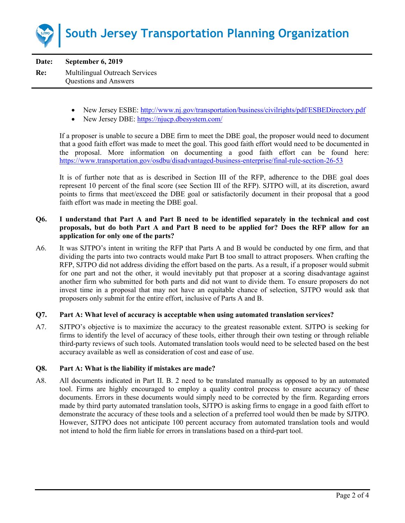

**Date: September 6, 2019 Re:** Multilingual Outreach Services Questions and Answers

- New Jersey ESBE:<http://www.nj.gov/transportation/business/civilrights/pdf/ESBEDirectory.pdf>
- New Jersey DBE:<https://njucp.dbesystem.com/>

If a proposer is unable to secure a DBE firm to meet the DBE goal, the proposer would need to document that a good faith effort was made to meet the goal. This good faith effort would need to be documented in the proposal. More information on documenting a good faith effort can be found here: <https://www.transportation.gov/osdbu/disadvantaged-business-enterprise/final-rule-section-26-53>

It is of further note that as is described in Section III of the RFP, adherence to the DBE goal does represent 10 percent of the final score (see Section III of the RFP). SJTPO will, at its discretion, award points to firms that meet/exceed the DBE goal or satisfactorily document in their proposal that a good faith effort was made in meeting the DBE goal.

## **Q6. I understand that Part A and Part B need to be identified separately in the technical and cost proposals, but do both Part A and Part B need to be applied for? Does the RFP allow for an application for only one of the parts?**

A6. It was SJTPO's intent in writing the RFP that Parts A and B would be conducted by one firm, and that dividing the parts into two contracts would make Part B too small to attract proposers. When crafting the RFP, SJTPO did not address dividing the effort based on the parts. As a result, if a proposer would submit for one part and not the other, it would inevitably put that proposer at a scoring disadvantage against another firm who submitted for both parts and did not want to divide them. To ensure proposers do not invest time in a proposal that may not have an equitable chance of selection, SJTPO would ask that proposers only submit for the entire effort, inclusive of Parts A and B.

### **Q7. Part A: What level of accuracy is acceptable when using automated translation services?**

A7. SJTPO's objective is to maximize the accuracy to the greatest reasonable extent. SJTPO is seeking for firms to identify the level of accuracy of these tools, either through their own testing or through reliable third-party reviews of such tools. Automated translation tools would need to be selected based on the best accuracy available as well as consideration of cost and ease of use.

### **Q8. Part A: What is the liability if mistakes are made?**

A8. All documents indicated in Part II. B. 2 need to be translated manually as opposed to by an automated tool. Firms are highly encouraged to employ a quality control process to ensure accuracy of these documents. Errors in these documents would simply need to be corrected by the firm. Regarding errors made by third party automated translation tools, SJTPO is asking firms to engage in a good faith effort to demonstrate the accuracy of these tools and a selection of a preferred tool would then be made by SJTPO. However, SJTPO does not anticipate 100 percent accuracy from automated translation tools and would not intend to hold the firm liable for errors in translations based on a third-part tool.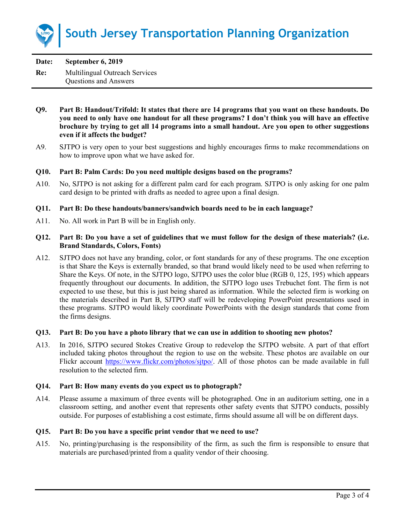

| Date: | September 6, 2019                     |
|-------|---------------------------------------|
| Re:   | <b>Multilingual Outreach Services</b> |
|       | <b>Questions and Answers</b>          |

- **Q9. Part B: Handout/Trifold: It states that there are 14 programs that you want on these handouts. Do you need to only have one handout for all these programs? I don't think you will have an effective brochure by trying to get all 14 programs into a small handout. Are you open to other suggestions even if it affects the budget?**
- A9. SJTPO is very open to your best suggestions and highly encourages firms to make recommendations on how to improve upon what we have asked for.

## **Q10. Part B: Palm Cards: Do you need multiple designs based on the programs?**

A10. No, SJTPO is not asking for a different palm card for each program. SJTPO is only asking for one palm card design to be printed with drafts as needed to agree upon a final design.

### **Q11. Part B: Do these handouts/banners/sandwich boards need to be in each language?**

A11. No. All work in Part B will be in English only.

## **Q12. Part B: Do you have a set of guidelines that we must follow for the design of these materials? (i.e. Brand Standards, Colors, Fonts)**

A12. SJTPO does not have any branding, color, or font standards for any of these programs. The one exception is that Share the Keys is externally branded, so that brand would likely need to be used when referring to Share the Keys. Of note, in the SJTPO logo, SJTPO uses the color blue (RGB 0, 125, 195) which appears frequently throughout our documents. In addition, the SJTPO logo uses Trebuchet font. The firm is not expected to use these, but this is just being shared as information. While the selected firm is working on the materials described in Part B, SJTPO staff will be redeveloping PowerPoint presentations used in these programs. SJTPO would likely coordinate PowerPoints with the design standards that come from the firms designs.

### **Q13. Part B: Do you have a photo library that we can use in addition to shooting new photos?**

A13. In 2016, SJTPO secured Stokes Creative Group to redevelop the SJTPO website. A part of that effort included taking photos throughout the region to use on the website. These photos are available on our Flickr account https://www.flickr.com/photos/sitpo/. All of those photos can be made available in full resolution to the selected firm.

### **Q14. Part B: How many events do you expect us to photograph?**

A14. Please assume a maximum of three events will be photographed. One in an auditorium setting, one in a classroom setting, and another event that represents other safety events that SJTPO conducts, possibly outside. For purposes of establishing a cost estimate, firms should assume all will be on different days.

### **Q15. Part B: Do you have a specific print vendor that we need to use?**

A15. No, printing/purchasing is the responsibility of the firm, as such the firm is responsible to ensure that materials are purchased/printed from a quality vendor of their choosing.